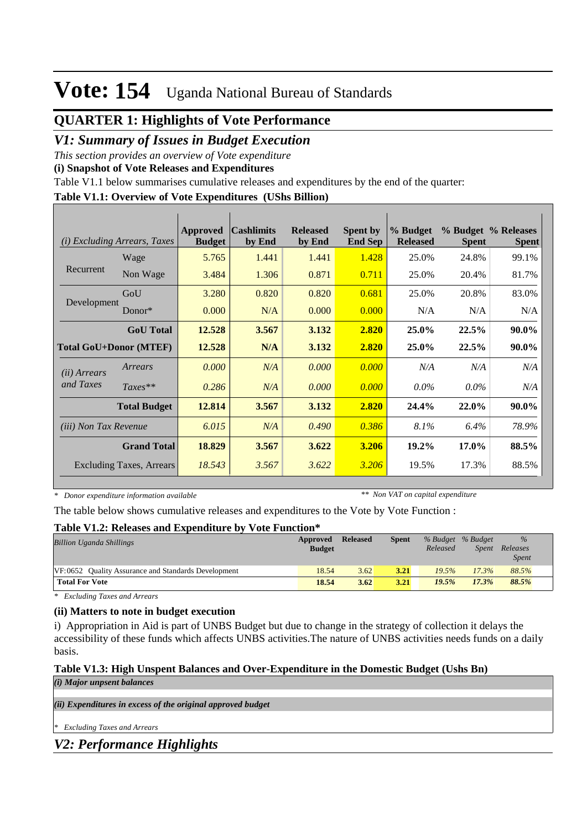## **QUARTER 1: Highlights of Vote Performance**

## *V1: Summary of Issues in Budget Execution*

*This section provides an overview of Vote expenditure* 

**(i) Snapshot of Vote Releases and Expenditures**

Table V1.1 below summarises cumulative releases and expenditures by the end of the quarter:

#### **Table V1.1: Overview of Vote Expenditures (UShs Billion)**

| (i)                           | <i>Excluding Arrears, Taxes</i> | Approved<br><b>Budget</b> | $\alpha$ cashlimits<br>by End | <b>Released</b><br>by End | <b>Spent by</b><br><b>End Sep</b> | % Budget<br><b>Released</b> | <b>Spent</b> | % Budget % Releases<br><b>Spent</b> |
|-------------------------------|---------------------------------|---------------------------|-------------------------------|---------------------------|-----------------------------------|-----------------------------|--------------|-------------------------------------|
|                               | Wage                            | 5.765                     | 1.441                         | 1.441                     | 1.428                             | 25.0%                       | 24.8%        | 99.1%                               |
| Recurrent                     | Non Wage                        | 3.484                     | 1.306                         | 0.871                     | 0.711                             | 25.0%                       | 20.4%        | 81.7%                               |
|                               | GoU                             | 3.280                     | 0.820                         | 0.820                     | 0.681                             | 25.0%                       | 20.8%        | 83.0%                               |
| Development                   | Donor $*$                       | 0.000                     | N/A                           | 0.000                     | 0.000                             | N/A                         | N/A          | N/A                                 |
|                               | <b>GoU</b> Total                | 12.528                    | 3.567                         | 3.132                     | 2.820                             | 25.0%                       | 22.5%        | 90.0%                               |
| <b>Total GoU+Donor (MTEF)</b> |                                 | 12.528                    | N/A                           | 3.132                     | 2.820                             | $25.0\%$                    | 22.5%        | 90.0%                               |
| ( <i>ii</i> ) Arrears         | Arrears                         | 0.000                     | N/A                           | 0.000                     | 0.000                             | N/A                         | N/A          | N/A                                 |
| and Taxes                     | $Taxes**$                       | 0.286                     | N/A                           | 0.000                     | 0.000                             | $0.0\%$                     | $0.0\%$      | N/A                                 |
|                               | <b>Total Budget</b>             | 12.814                    | 3.567                         | 3.132                     | 2.820                             | 24.4%                       | 22.0%        | 90.0%                               |
| <i>(iii)</i> Non Tax Revenue  |                                 | 6.015                     | N/A                           | 0.490                     | 0.386                             | 8.1%                        | 6.4%         | 78.9%                               |
|                               | <b>Grand Total</b>              | 18.829                    | 3.567                         | 3.622                     | 3.206                             | 19.2%                       | 17.0%        | 88.5%                               |
|                               | <b>Excluding Taxes, Arrears</b> | 18.543                    | 3.567                         | 3.622                     | 3.206                             | 19.5%                       | 17.3%        | 88.5%                               |

*\* Donor expenditure information available*

*\*\* Non VAT on capital expenditure*

The table below shows cumulative releases and expenditures to the Vote by Vote Function :

#### **Table V1.2: Releases and Expenditure by Vote Function\***

| <b>Billion Uganda Shillings</b>                     | Approved<br><b>Budget</b> | <b>Released</b> | <b>Spent</b> | % Budget % Budget<br>Released | <i>Spent</i> | $\%$<br>Releases<br><i>Spent</i> |  |
|-----------------------------------------------------|---------------------------|-----------------|--------------|-------------------------------|--------------|----------------------------------|--|
| VF:0652 Ouality Assurance and Standards Development | 18.54                     | 3.62            | 3.21         | 19.5%                         | 17.3%        | 88.5%                            |  |
| <b>Total For Vote</b>                               | 18.54                     | 3.62            | 3.21         | 19.5%                         | 17.3%        | 88.5%                            |  |

*\* Excluding Taxes and Arrears*

### **(ii) Matters to note in budget execution**

i) Appropriation in Aid is part of UNBS Budget but due to change in the strategy of collection it delays the accessibility of these funds which affects UNBS activities.The nature of UNBS activities needs funds on a daily basis.

#### **Table V1.3: High Unspent Balances and Over-Expenditure in the Domestic Budget (Ushs Bn)** *(i) Major unpsent balances*

*(ii) Expenditures in excess of the original approved budget*

*\* Excluding Taxes and Arrears*

## *V2: Performance Highlights*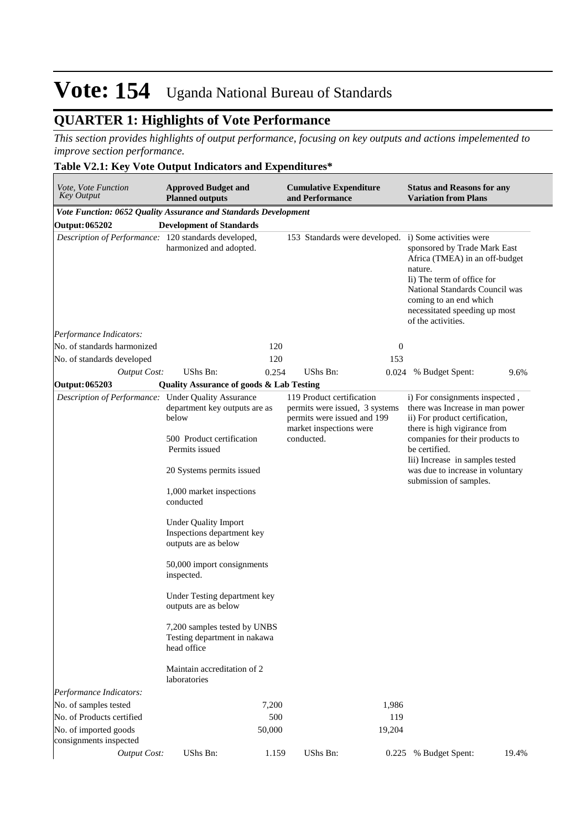## **QUARTER 1: Highlights of Vote Performance**

*This section provides highlights of output performance, focusing on key outputs and actions impelemented to improve section performance.*

### **Table V2.1: Key Vote Output Indicators and Expenditures\***

| Vote, Vote Function<br><b>Key Output</b>                        | <b>Approved Budget and</b><br><b>Planned outputs</b>                              |            | <b>Cumulative Expenditure</b><br>and Performance                                                                      |                  | <b>Status and Reasons for any</b><br><b>Variation from Plans</b>                                                                                                                                                                                                                         |       |  |
|-----------------------------------------------------------------|-----------------------------------------------------------------------------------|------------|-----------------------------------------------------------------------------------------------------------------------|------------------|------------------------------------------------------------------------------------------------------------------------------------------------------------------------------------------------------------------------------------------------------------------------------------------|-------|--|
| Vote Function: 0652 Quality Assurance and Standards Development |                                                                                   |            |                                                                                                                       |                  |                                                                                                                                                                                                                                                                                          |       |  |
| <b>Output: 065202</b>                                           | <b>Development of Standards</b>                                                   |            |                                                                                                                       |                  |                                                                                                                                                                                                                                                                                          |       |  |
| Description of Performance: 120 standards developed,            | harmonized and adopted.                                                           |            | 153 Standards were developed.                                                                                         |                  | i) Some activities were<br>sponsored by Trade Mark East<br>Africa (TMEA) in an off-budget<br>nature.<br>Ii) The term of office for<br>National Standards Council was<br>coming to an end which<br>necessitated speeding up most<br>of the activities.                                    |       |  |
| Performance Indicators:                                         |                                                                                   |            |                                                                                                                       |                  |                                                                                                                                                                                                                                                                                          |       |  |
| No. of standards harmonized                                     |                                                                                   | 120        |                                                                                                                       | $\boldsymbol{0}$ |                                                                                                                                                                                                                                                                                          |       |  |
| No. of standards developed                                      |                                                                                   | 120        |                                                                                                                       | 153              |                                                                                                                                                                                                                                                                                          |       |  |
| <b>Output Cost:</b>                                             | UShs Bn:                                                                          | 0.254      | <b>UShs Bn:</b>                                                                                                       | 0.024            | % Budget Spent:                                                                                                                                                                                                                                                                          | 9.6%  |  |
| Output: 065203                                                  | <b>Quality Assurance of goods &amp; Lab Testing</b>                               |            |                                                                                                                       |                  |                                                                                                                                                                                                                                                                                          |       |  |
| Description of Performance: Under Quality Assurance             | department key outputs are as<br>below                                            |            | 119 Product certification<br>permits were issued, 3 systems<br>permits were issued and 199<br>market inspections were |                  | i) For consignments inspected,<br>there was Increase in man power<br>ii) For product certification,<br>there is high vigirance from<br>companies for their products to<br>be certified.<br>Iii) Increase in samples tested<br>was due to increase in voluntary<br>submission of samples. |       |  |
|                                                                 | 500 Product certification<br>Permits issued                                       | conducted. |                                                                                                                       |                  |                                                                                                                                                                                                                                                                                          |       |  |
|                                                                 | 20 Systems permits issued                                                         |            |                                                                                                                       |                  |                                                                                                                                                                                                                                                                                          |       |  |
|                                                                 | 1,000 market inspections<br>conducted                                             |            |                                                                                                                       |                  |                                                                                                                                                                                                                                                                                          |       |  |
|                                                                 | <b>Under Quality Import</b><br>Inspections department key<br>outputs are as below |            |                                                                                                                       |                  |                                                                                                                                                                                                                                                                                          |       |  |
|                                                                 | 50,000 import consignments<br>inspected.                                          |            |                                                                                                                       |                  |                                                                                                                                                                                                                                                                                          |       |  |
|                                                                 | Under Testing department key<br>outputs are as below                              |            |                                                                                                                       |                  |                                                                                                                                                                                                                                                                                          |       |  |
|                                                                 | 7,200 samples tested by UNBS<br>Testing department in nakawa<br>head office       |            |                                                                                                                       |                  |                                                                                                                                                                                                                                                                                          |       |  |
|                                                                 | Maintain accreditation of 2<br>laboratories                                       |            |                                                                                                                       |                  |                                                                                                                                                                                                                                                                                          |       |  |
| Performance Indicators:                                         |                                                                                   |            |                                                                                                                       |                  |                                                                                                                                                                                                                                                                                          |       |  |
| No. of samples tested                                           |                                                                                   | 7,200      |                                                                                                                       | 1,986            |                                                                                                                                                                                                                                                                                          |       |  |
| No. of Products certified                                       |                                                                                   | 500        |                                                                                                                       | 119              |                                                                                                                                                                                                                                                                                          |       |  |
| No. of imported goods<br>consignments inspected                 |                                                                                   | 50,000     |                                                                                                                       | 19,204           |                                                                                                                                                                                                                                                                                          |       |  |
| Output Cost:                                                    | UShs Bn:                                                                          | 1.159      | UShs Bn:                                                                                                              | 0.225            | % Budget Spent:                                                                                                                                                                                                                                                                          | 19.4% |  |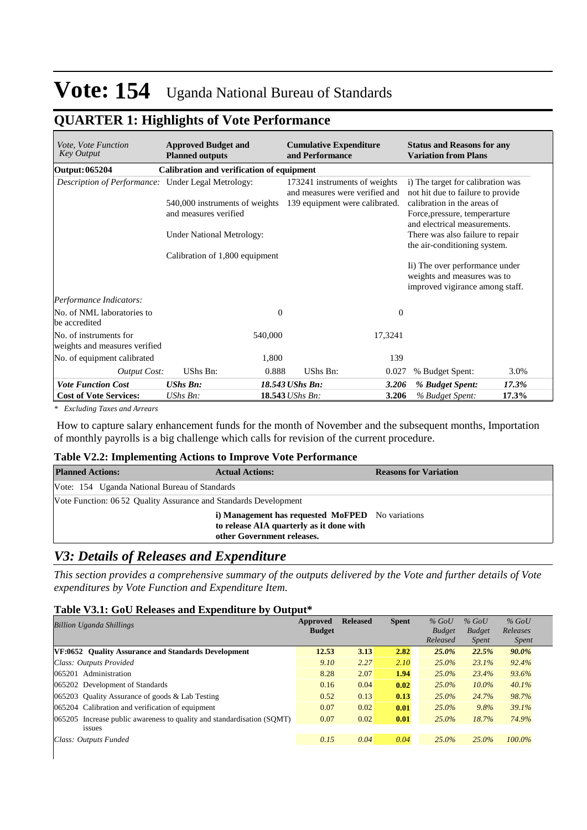## **QUARTER 1: Highlights of Vote Performance**

| <i>Vote, Vote Function</i><br>Key Output                  | <b>Approved Budget and</b><br><b>Planned outputs</b> |              | <b>Cumulative Expenditure</b><br>and Performance                |          | <b>Status and Reasons for any</b><br><b>Variation from Plans</b>                                 |       |  |  |
|-----------------------------------------------------------|------------------------------------------------------|--------------|-----------------------------------------------------------------|----------|--------------------------------------------------------------------------------------------------|-------|--|--|
| Output: 065204                                            | Calibration and verification of equipment            |              |                                                                 |          |                                                                                                  |       |  |  |
| <i>Description of Performance:</i> Under Legal Metrology: |                                                      |              | 173241 instruments of weights<br>and measures were verified and |          | i) The target for calibration was<br>not hit due to failure to provide                           |       |  |  |
|                                                           | 540,000 instruments of weights                       |              | 139 equipment were calibrated.                                  |          | calibration in the areas of                                                                      |       |  |  |
|                                                           | and measures verified                                |              |                                                                 |          | Force, pressure, temperarture<br>and electrical measurements.                                    |       |  |  |
|                                                           | <b>Under National Metrology:</b>                     |              |                                                                 |          | There was also failure to repair                                                                 |       |  |  |
|                                                           | Calibration of 1,800 equipment                       |              | the air-conditioning system.                                    |          |                                                                                                  |       |  |  |
|                                                           |                                                      |              |                                                                 |          | Ii) The over performance under<br>weights and measures was to<br>improved vigirance among staff. |       |  |  |
| Performance Indicators:                                   |                                                      |              |                                                                 |          |                                                                                                  |       |  |  |
| No. of NML laboratories to<br>be accredited               |                                                      | $\mathbf{0}$ |                                                                 | $\theta$ |                                                                                                  |       |  |  |
| No. of instruments for<br>weights and measures verified   |                                                      | 540,000      |                                                                 | 17,3241  |                                                                                                  |       |  |  |
| No. of equipment calibrated                               |                                                      | 1,800        |                                                                 | 139      |                                                                                                  |       |  |  |
| <b>Output Cost:</b>                                       | UShs Bn:                                             | 0.888        | UShs Bn:                                                        | 0.027    | % Budget Spent:                                                                                  | 3.0%  |  |  |
| <b>Vote Function Cost</b>                                 | <b>UShs Bn:</b>                                      |              | 18.543 UShs Bn:                                                 | 3.206    | % Budget Spent:                                                                                  | 17.3% |  |  |
| <b>Cost of Vote Services:</b>                             | UShs Bn:                                             |              | 18.543 UShs Bn:                                                 | 3.206    | % Budget Spent:                                                                                  | 17.3% |  |  |

*\* Excluding Taxes and Arrears*

 How to capture salary enhancement funds for the month of November and the subsequent months, Importation of monthly payrolls is a big challenge which calls for revision of the current procedure.

#### **Table V2.2: Implementing Actions to Improve Vote Performance**

| <b>Planned Actions:</b>                                          | <b>Actual Actions:</b>                                                                                                     | <b>Reasons for Variation</b> |
|------------------------------------------------------------------|----------------------------------------------------------------------------------------------------------------------------|------------------------------|
| Vote: 154 Uganda National Bureau of Standards                    |                                                                                                                            |                              |
| Vote Function: 06 52 Quality Assurance and Standards Development |                                                                                                                            |                              |
|                                                                  | i) Management has requested MoFPED No variations<br>to release AIA quarterly as it done with<br>other Government releases. |                              |

## *V3: Details of Releases and Expenditure*

*This section provides a comprehensive summary of the outputs delivered by the Vote and further details of Vote expenditures by Vote Function and Expenditure Item.*

#### **Table V3.1: GoU Releases and Expenditure by Output\***

| <b>Billion Uganda Shillings</b>                                        | Approved<br><b>Budget</b> | <b>Released</b> | <b>Spent</b> | $%$ GoU<br><b>Budget</b> | $%$ GoU<br><b>Budget</b> | $%$ GoU<br>Releases |
|------------------------------------------------------------------------|---------------------------|-----------------|--------------|--------------------------|--------------------------|---------------------|
|                                                                        |                           |                 |              | Released                 | <i>Spent</i>             | <i>Spent</i>        |
| <b>VF:0652</b> Ouality Assurance and Standards Development             | 12.53                     | 3.13            | 2.82         | $25.0\%$                 | 22.5%                    | 90.0%               |
| Class: Outputs Provided                                                | 9.10                      | 2.27            | 2.10         | 25.0%                    | 23.1%                    | 92.4%               |
| 065201 Administration                                                  | 8.28                      | 2.07            | 1.94         | $25.0\%$                 | 23.4%                    | 93.6%               |
| 065202 Development of Standards                                        | 0.16                      | 0.04            | 0.02         | 25.0%                    | $10.0\%$                 | 40.1%               |
| 065203 Ouality Assurance of goods $&$ Lab Testing                      | 0.52                      | 0.13            | 0.13         | 25.0%                    | 24.7%                    | 98.7%               |
| 065204 Calibration and verification of equipment                       | 0.07                      | 0.02            | 0.01         | 25.0%                    | 9.8%                     | 39.1%               |
| 065205 Increase public awareness to quality and standardisation (SQMT) | 0.07                      | 0.02            | 0.01         | 25.0%                    | 18.7%                    | 74.9%               |
| issues                                                                 |                           |                 |              |                          |                          |                     |
| Class: Outputs Funded                                                  | 0.15                      | 0.04            | 0.04         | $25.0\%$                 | 25.0%                    | 100.0%              |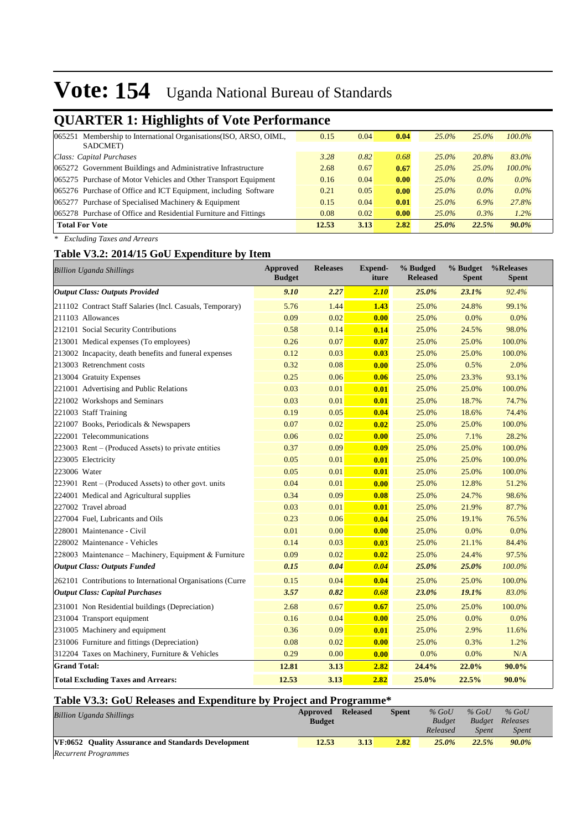## **QUARTER 1: Highlights of Vote Performance**

| 065251 | Membership to International Organisations (ISO, ARSO, OIML,      | 0.15  | 0.04 | 0.04 | $25.0\%$ | $25.0\%$ | $100.0\%$ |
|--------|------------------------------------------------------------------|-------|------|------|----------|----------|-----------|
|        | SADCMET)                                                         |       |      |      |          |          |           |
|        | Class: Capital Purchases                                         | 3.28  | 0.82 | 0.68 | $25.0\%$ | 20.8%    | 83.0%     |
|        | 065272 Government Buildings and Administrative Infrastructure    | 2.68  | 0.67 | 0.67 | $25.0\%$ | 25.0%    | $100.0\%$ |
|        | 065275 Purchase of Motor Vehicles and Other Transport Equipment  | 0.16  | 0.04 | 0.00 | $25.0\%$ | $0.0\%$  | $0.0\%$   |
|        | 065276 Purchase of Office and ICT Equipment, including Software  | 0.21  | 0.05 | 0.00 | $25.0\%$ | $0.0\%$  | $0.0\%$   |
|        | 065277 Purchase of Specialised Machinery & Equipment             | 0.15  | 0.04 | 0.01 | $25.0\%$ | 6.9%     | 27.8%     |
|        | 065278 Purchase of Office and Residential Furniture and Fittings | 0.08  | 0.02 | 0.00 | $25.0\%$ | $0.3\%$  | 1.2%      |
|        | <b>Total For Vote</b>                                            | 12.53 | 3.13 | 2.82 | 25.0%    | 22.5%    | 90.0%     |
|        |                                                                  |       |      |      |          |          |           |

*\* Excluding Taxes and Arrears*

### **Table V3.2: 2014/15 GoU Expenditure by Item**

| <b>Billion Uganda Shillings</b>                            | <b>Approved</b><br><b>Budget</b> | <b>Releases</b> | <b>Expend-</b><br>iture | % Budged<br><b>Released</b> | % Budget<br><b>Spent</b> | %Releases<br><b>Spent</b> |
|------------------------------------------------------------|----------------------------------|-----------------|-------------------------|-----------------------------|--------------------------|---------------------------|
| <b>Output Class: Outputs Provided</b>                      | 9.10                             | 2.27            | 2.10                    | 25.0%                       | 23.1%                    | 92.4%                     |
| 211102 Contract Staff Salaries (Incl. Casuals, Temporary)  | 5.76                             | 1.44            | 1.43                    | 25.0%                       | 24.8%                    | 99.1%                     |
| 211103 Allowances                                          | 0.09                             | 0.02            | 0.00                    | 25.0%                       | 0.0%                     | 0.0%                      |
| 212101 Social Security Contributions                       | 0.58                             | 0.14            | 0.14                    | 25.0%                       | 24.5%                    | 98.0%                     |
| 213001 Medical expenses (To employees)                     | 0.26                             | 0.07            | 0.07                    | 25.0%                       | 25.0%                    | 100.0%                    |
| 213002 Incapacity, death benefits and funeral expenses     | 0.12                             | 0.03            | 0.03                    | 25.0%                       | 25.0%                    | 100.0%                    |
| 213003 Retrenchment costs                                  | 0.32                             | 0.08            | 0.00                    | 25.0%                       | 0.5%                     | 2.0%                      |
| 213004 Gratuity Expenses                                   | 0.25                             | 0.06            | 0.06                    | 25.0%                       | 23.3%                    | 93.1%                     |
| 221001 Advertising and Public Relations                    | 0.03                             | 0.01            | 0.01                    | 25.0%                       | 25.0%                    | 100.0%                    |
| 221002 Workshops and Seminars                              | 0.03                             | 0.01            | 0.01                    | 25.0%                       | 18.7%                    | 74.7%                     |
| 221003 Staff Training                                      | 0.19                             | 0.05            | 0.04                    | 25.0%                       | 18.6%                    | 74.4%                     |
| 221007 Books, Periodicals & Newspapers                     | 0.07                             | 0.02            | 0.02                    | 25.0%                       | 25.0%                    | 100.0%                    |
| 222001 Telecommunications                                  | 0.06                             | 0.02            | 0.00                    | 25.0%                       | 7.1%                     | 28.2%                     |
| 223003 Rent – (Produced Assets) to private entities        | 0.37                             | 0.09            | 0.09                    | 25.0%                       | 25.0%                    | 100.0%                    |
| 223005 Electricity                                         | 0.05                             | 0.01            | 0.01                    | 25.0%                       | 25.0%                    | 100.0%                    |
| 223006 Water                                               | 0.05                             | 0.01            | 0.01                    | 25.0%                       | 25.0%                    | 100.0%                    |
| 223901 Rent – (Produced Assets) to other govt. units       | 0.04                             | 0.01            | 0.00                    | 25.0%                       | 12.8%                    | 51.2%                     |
| 224001 Medical and Agricultural supplies                   | 0.34                             | 0.09            | 0.08                    | 25.0%                       | 24.7%                    | 98.6%                     |
| 227002 Travel abroad                                       | 0.03                             | 0.01            | 0.01                    | 25.0%                       | 21.9%                    | 87.7%                     |
| 227004 Fuel, Lubricants and Oils                           | 0.23                             | 0.06            | 0.04                    | 25.0%                       | 19.1%                    | 76.5%                     |
| 228001 Maintenance - Civil                                 | 0.01                             | 0.00            | 0.00                    | 25.0%                       | 0.0%                     | 0.0%                      |
| 228002 Maintenance - Vehicles                              | 0.14                             | 0.03            | 0.03                    | 25.0%                       | 21.1%                    | 84.4%                     |
| 228003 Maintenance – Machinery, Equipment & Furniture      | 0.09                             | 0.02            | 0.02                    | 25.0%                       | 24.4%                    | 97.5%                     |
| <b>Output Class: Outputs Funded</b>                        | 0.15                             | 0.04            | 0.04                    | 25.0%                       | 25.0%                    | 100.0%                    |
| 262101 Contributions to International Organisations (Curre | 0.15                             | 0.04            | 0.04                    | 25.0%                       | 25.0%                    | 100.0%                    |
| <b>Output Class: Capital Purchases</b>                     | 3.57                             | 0.82            | 0.68                    | 23.0%                       | 19.1%                    | 83.0%                     |
| 231001 Non Residential buildings (Depreciation)            | 2.68                             | 0.67            | 0.67                    | 25.0%                       | 25.0%                    | 100.0%                    |
| 231004 Transport equipment                                 | 0.16                             | 0.04            | 0.00                    | 25.0%                       | 0.0%                     | 0.0%                      |
| 231005 Machinery and equipment                             | 0.36                             | 0.09            | 0.01                    | 25.0%                       | 2.9%                     | 11.6%                     |
| 231006 Furniture and fittings (Depreciation)               | 0.08                             | 0.02            | 0.00                    | 25.0%                       | 0.3%                     | 1.2%                      |
| 312204 Taxes on Machinery, Furniture & Vehicles            | 0.29                             | 0.00            | 0.00                    | 0.0%                        | 0.0%                     | N/A                       |
| <b>Grand Total:</b>                                        | 12.81                            | 3.13            | 2.82                    | 24.4%                       | 22.0%                    | 90.0%                     |
| <b>Total Excluding Taxes and Arrears:</b>                  | 12.53                            | 3.13            | 2.82                    | 25.0%                       | 22.5%                    | 90.0%                     |

## **Table V3.3: GoU Releases and Expenditure by Project and Programme\***

| <b>Billion Uganda Shillings</b>                     | Approved      | <b>Released</b> | <b>Spent</b> | $%$ GoU       | $%$ GoU       | $%$ GoU      |
|-----------------------------------------------------|---------------|-----------------|--------------|---------------|---------------|--------------|
|                                                     | <b>Budget</b> |                 |              | <b>Budget</b> | <b>Budget</b> | Releases     |
|                                                     |               |                 |              | Released      | <b>Spent</b>  | <b>Spent</b> |
| VF:0652 Ouality Assurance and Standards Development | 12.53         | 3.13            | 2.82         | 25.0%         | 22.5%         | 90.0%        |
| Recurrent Programmes                                |               |                 |              |               |               |              |